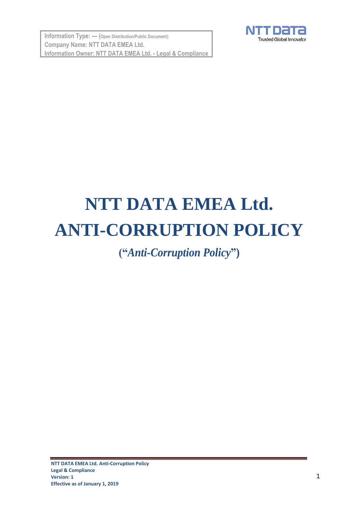**Information Type: --- (Open Distribution/Public Document) Company Name: NTT DATA EMEA Ltd. Information Owner: NTT DATA EMEA Ltd. - Legal & Compliance**



# **NTT DATA EMEA Ltd. ANTI-CORRUPTION POLICY**

**("***Anti-Corruption Policy***")**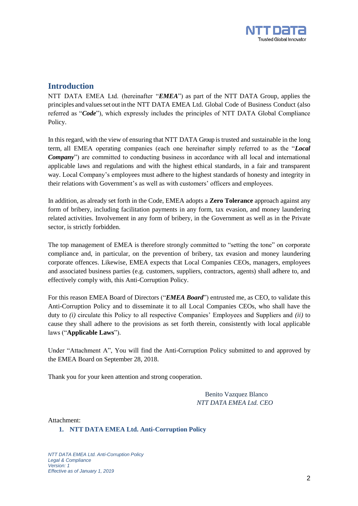

## **Introduction**

NTT DATA EMEA Ltd. (hereinafter "*EMEA*") as part of the NTT DATA Group, applies the principles and valuesset out in the NTT DATA EMEA Ltd. Global Code of Business Conduct (also referred as "*Code*"), which expressly includes the principles of NTT DATA Global Compliance Policy.

In this regard, with the view of ensuring that NTT DATA Group is trusted and sustainable in the long term, all EMEA operating companies (each one hereinafter simply referred to as the "*Local Company*") are committed to conducting business in accordance with all local and international applicable laws and regulations and with the highest ethical standards, in a fair and transparent way. Local Company's employees must adhere to the highest standards of honesty and integrity in their relations with Government's as well as with customers' officers and employees.

In addition, as already set forth in the Code, EMEA adopts a **Zero Tolerance** approach against any form of bribery, including facilitation payments in any form, tax evasion, and money laundering related activities. Involvement in any form of bribery, in the Government as well as in the Private sector, is strictly forbidden.

The top management of EMEA is therefore strongly committed to "setting the tone" on corporate compliance and, in particular, on the prevention of bribery, tax evasion and money laundering corporate offences. Likewise, EMEA expects that Local Companies CEOs, managers, employees and associated business parties (e.g. customers, suppliers, contractors, agents) shall adhere to, and effectively comply with, this Anti-Corruption Policy.

For this reason EMEA Board of Directors ("*EMEA Board*") entrusted me, as CEO, to validate this Anti-Corruption Policy and to disseminate it to all Local Companies CEOs, who shall have the duty to *(i)* circulate this Policy to all respective Companies' Employees and Suppliers and *(ii)* to cause they shall adhere to the provisions as set forth therein, consistently with local applicable laws ("**Applicable Laws**").

Under "Attachment A", You will find the Anti-Corruption Policy submitted to and approved by the EMEA Board on September 28, 2018.

Thank you for your keen attention and strong cooperation.

 Benito Vazquez Blanco *NTT DATA EMEA Ltd. CEO*

Attachment:

**1. NTT DATA EMEA Ltd. Anti-Corruption Policy**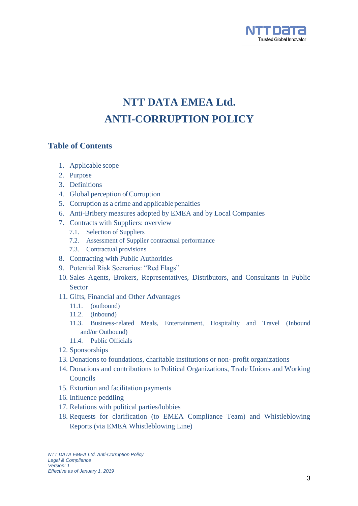

## **NTT DATA EMEA Ltd. ANTI-CORRUPTION POLICY**

## **Table of Contents**

- 1. Applicable scope
- 2. Purpose
- 3. Definitions
- 4. Global perception of Corruption
- 5. Corruption as a crime and applicable penalties
- 6. Anti-Bribery measures adopted by EMEA and by Local Companies
- 7. Contracts with Suppliers: overview
	- 7.1. Selection of Suppliers
	- 7.2. Assessment of Supplier contractual performance
	- 7.3. Contractual provisions
- 8. Contracting with Public Authorities
- 9. Potential Risk Scenarios: "Red Flags"
- 10. Sales Agents, Brokers, Representatives, Distributors, and Consultants in Public Sector
- 11. Gifts, Financial and Other Advantages
	- 11.1. (outbound)
	- 11.2. (inbound)
	- 11.3. Business-related Meals, Entertainment, Hospitality and Travel (Inbound and/or Outbound)
	- 11.4. Public Officials
- 12. Sponsorships
- 13. Donations to foundations, charitable institutions or non- profit organizations
- 14. Donations and contributions to Political Organizations, Trade Unions and Working Councils
- 15. Extortion and facilitation payments
- 16. Influence peddling
- 17. Relations with political parties/lobbies
- 18. Requests for clarification (to EMEA Compliance Team) and Whistleblowing Reports (via EMEA Whistleblowing Line)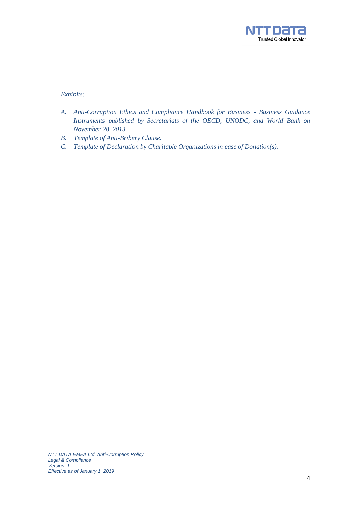

*Exhibits:*

- *A. Anti-Corruption Ethics and Compliance Handbook for Business - Business Guidance Instruments published by Secretariats of the OECD, UNODC, and World Bank on November 28, 2013.*
- *B. Template of Anti-Bribery Clause.*
- *C. Template of Declaration by Charitable Organizations in case of Donation(s).*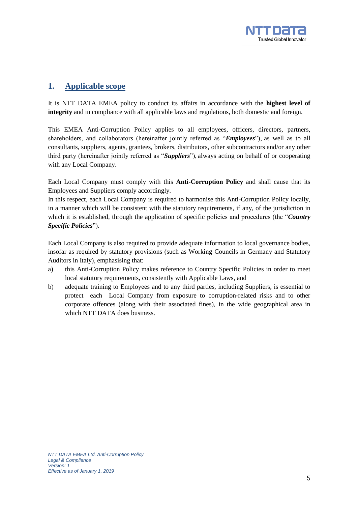

## **1. Applicable scope**

It is NTT DATA EMEA policy to conduct its affairs in accordance with the **highest level of integrity** and in compliance with all applicable laws and regulations, both domestic and foreign.

This EMEA Anti-Corruption Policy applies to all employees, officers, directors, partners, shareholders, and collaborators (hereinafter jointly referred as "*Employees*"), as well as to all consultants, suppliers, agents, grantees, brokers, distributors, other subcontractors and/or any other third party (hereinafter jointly referred as "*Suppliers*"), always acting on behalf of or cooperating with any Local Company.

Each Local Company must comply with this **Anti-Corruption Policy** and shall cause that its Employees and Suppliers comply accordingly.

In this respect, each Local Company is required to harmonise this Anti-Corruption Policy locally, in a manner which will be consistent with the statutory requirements, if any, of the jurisdiction in which it is established, through the application of specific policies and procedures (the "*Country Specific Policies*").

Each Local Company is also required to provide adequate information to local governance bodies, insofar as required by statutory provisions (such as Working Councils in Germany and Statutory Auditors in Italy), emphasising that:

- a) this Anti-Corruption Policy makes reference to Country Specific Policies in order to meet local statutory requirements, consistently with Applicable Laws, and
- b) adequate training to Employees and to any third parties, including Suppliers, is essential to protect each Local Company from exposure to corruption-related risks and to other corporate offences (along with their associated fines), in the wide geographical area in which NTT DATA does business.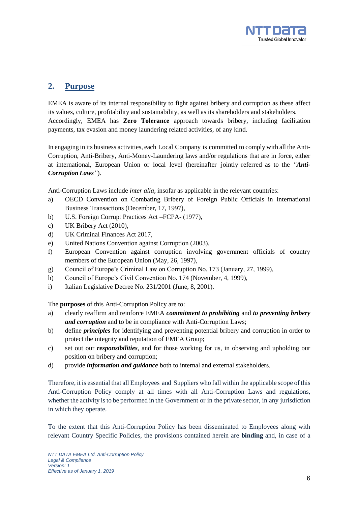

## **2. Purpose**

EMEA is aware of its internal responsibility to fight against bribery and corruption as these affect its values, culture, profitability and sustainability, as well as its shareholders and stakeholders. Accordingly, EMEA has **Zero Tolerance** approach towards bribery, including facilitation payments, tax evasion and money laundering related activities, of any kind.

In engaging in its business activities, each Local Company is committed to comply with all the Anti-Corruption, Anti-Bribery, Anti-Money-Laundering laws and/or regulations that are in force, either at international, European Union or local level (hereinafter jointly referred as to the *"Anti-CorruptionLaws"*).

Anti-Corruption Laws include *inter alia,* insofar as applicable in the relevant countries:

- a) OECD Convention on Combating Bribery of Foreign Public Officials in International Business Transactions (December, 17, 1997),
- b) U.S. Foreign Corrupt Practices Act –FCPA- (1977),
- c) UK Bribery Act (2010),
- d) UK Criminal Finances Act 2017,
- e) United Nations Convention against Corruption (2003),
- f) European Convention against corruption involving government officials of country members of the European Union (May, 26, 1997),
- g) Council of Europe's Criminal Law on Corruption No. 173 (January, 27, 1999),
- h) Council of Europe's Civil Convention No. 174 (November, 4, 1999),
- i) Italian Legislative Decree No. 231/2001 (June, 8, 2001).

The **purposes** of this Anti-Corruption Policy are to:

- a) clearly reaffirm and reinforce EMEA *commitment to prohibiting* and *to preventing bribery and corruption* and to be in compliance with Anti-Corruption Laws;
- b) define *principles* for identifying and preventing potential bribery and corruption in order to protect the integrity and reputation of EMEA Group;
- c) set out our *responsibilities*, and for those working for us, in observing and upholding our position on bribery and corruption;
- d) provide *information and guidance* both to internal and external stakeholders.

Therefore, it is essential that all Employees and Suppliers who fall within the applicable scope of this Anti-Corruption Policy comply at all times with all Anti-Corruption Laws and regulations, whether the activity is to be performed in the Government or in the private sector, in any jurisdiction in which they operate.

To the extent that this Anti-Corruption Policy has been disseminated to Employees along with relevant Country Specific Policies, the provisions contained herein are **binding** and, in case of a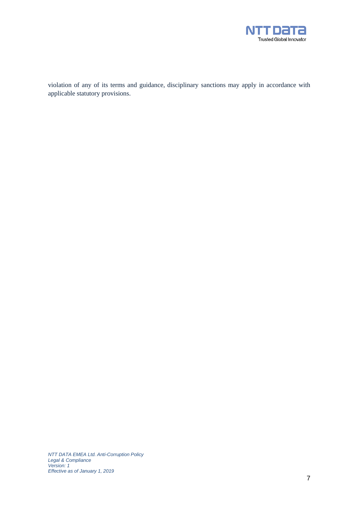

violation of any of its terms and guidance, disciplinary sanctions may apply in accordance with applicable statutory provisions.

*NTT DATA EMEA Ltd. Anti-Corruption Policy Legal & Compliance Version: 1 Effective as of January 1, 2019*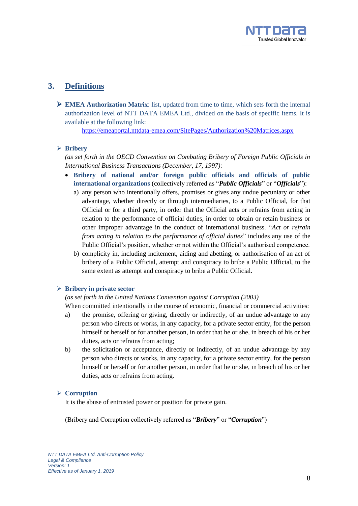

## **3. Definitions**

 **EMEA Authorization Matrix**: list, updated from time to time, which sets forth the internal authorization level of NTT DATA EMEA Ltd., divided on the basis of specific items. It is available at the following link:

<https://emeaportal.nttdata-emea.com/SitePages/Authorization%20Matrices.aspx>

#### **Bribery**

*(as set forth in the OECD Convention on Combating Bribery of Foreign Public Officials in International Business Transactions (December, 17, 1997):*

- **Bribery of national and/or foreign public officials and officials of public international organizations** (collectively referred as "*Public Officials*" or "*Officials*"):
	- a) any person who intentionally offers, promises or gives any undue pecuniary or other advantage, whether directly or through intermediaries, to a Public Official, for that Official or for a third party, in order that the Official acts or refrains from acting in relation to the performance of official duties, in order to obtain or retain business or other improper advantage in the conduct of international business. "*Act or refrain from acting in relation to the performance of official duties*" includes any use of the Public Official's position, whether or not within the Official's authorised competence.
	- b) complicity in, including incitement, aiding and abetting, or authorisation of an act of bribery of a Public Official, attempt and conspiracy to bribe a Public Official, to the same extent as attempt and conspiracy to bribe a Public Official.

#### **Bribery in private sector**

#### *(as set forth in the United Nations Convention against Corruption (2003)*

When committed intentionally in the course of economic, financial or commercial activities:

- a) the promise, offering or giving, directly or indirectly, of an undue advantage to any person who directs or works, in any capacity, for a private sector entity, for the person himself or herself or for another person, in order that he or she, in breach of his or her duties, acts or refrains from acting;
- b) the solicitation or acceptance, directly or indirectly, of an undue advantage by any person who directs or works, in any capacity, for a private sector entity, for the person himself or herself or for another person, in order that he or she, in breach of his or her duties, acts or refrains from acting.

#### **Corruption**

It is the abuse of entrusted power or position for private gain.

(Bribery and Corruption collectively referred as "*Bribery*" or "*Corruption*")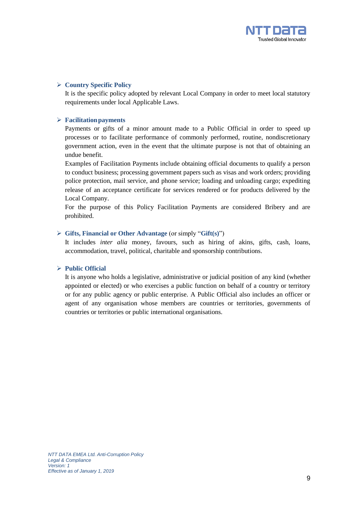

#### **Country Specific Policy**

It is the specific policy adopted by relevant Local Company in order to meet local statutory requirements under local Applicable Laws.

#### **Facilitationpayments**

Payments or gifts of a minor amount made to a Public Official in order to speed up processes or to facilitate performance of commonly performed, routine, nondiscretionary government action, even in the event that the ultimate purpose is not that of obtaining an undue benefit.

Examples of Facilitation Payments include obtaining official documents to qualify a person to conduct business; processing government papers such as visas and work orders; providing police protection, mail service, and phone service; loading and unloading cargo; expediting release of an acceptance certificate for services rendered or for products delivered by the Local Company.

For the purpose of this Policy Facilitation Payments are considered Bribery and are prohibited.

#### **Gifts, Financial or Other Advantage** (or simply "**Gift(s)**")

It includes *inter alia* money, favours, such as hiring of akins, gifts, cash, loans, accommodation, travel, political, charitable and sponsorship contributions.

#### **Public Official**

It is anyone who holds a legislative, administrative or judicial position of any kind (whether appointed or elected) or who exercises a public function on behalf of a country or territory or for any public agency or public enterprise. A Public Official also includes an officer or agent of any organisation whose members are countries or territories, governments of countries or territories or public international organisations.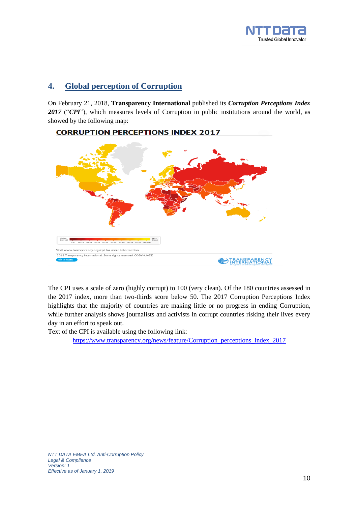

## **4. Global perception of Corruption**

On February 21, 2018, **Transparency International** published its *Corruption Perceptions Index* 2017 ("CPI"), which measures levels of Corruption in public institutions around the world, as showed by the following map:

## **CORRUPTION PERCEPTIONS INDEX 2017**



The CPI uses a scale of zero (highly corrupt) to 100 (very clean). Of the 180 countries assessed in the 2017 index, more than two-thirds score below 50. The 2017 Corruption Perceptions Index highlights that the majority of countries are making little or no progress in ending Corruption, while further analysis shows journalists and activists in corrupt countries risking their lives every day in an effort to speak out.

Text of the CPI is available using the following link:

https://www.transparency.org/news/feature/Corruption perceptions index 2017

*NTT DATA EMEA Ltd. Anti-Corruption Policy Legal & Compliance Version: 1 Effective as of January 1, 2019*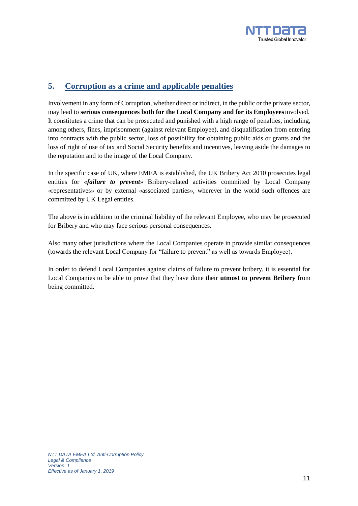

## **5. Corruption as a crime and applicable penalties**

Involvement in any form of Corruption, whether direct or indirect, in the public or the private sector, may lead to **serious consequences both for the Local Company and for its Employees**involved. It constitutes a crime that can be prosecuted and punished with a high range of penalties, including, among others, fines, imprisonment (against relevant Employee), and disqualification from entering into contracts with the public sector, loss of possibility for obtaining public aids or grants and the loss of right of use of tax and Social Security benefits and incentives, leaving aside the damages to the reputation and to the image of the Local Company.

In the specific case of UK, where EMEA is established, the UK Bribery Act 2010 prosecutes legal entities for «*failure to prevent*» Bribery-related activities committed by Local Company «representatives» or by external «associated parties», wherever in the world such offences are committed by UK Legal entities.

The above is in addition to the criminal liability of the relevant Employee, who may be prosecuted for Bribery and who may face serious personal consequences.

Also many other jurisdictions where the Local Companies operate in provide similar consequences (towards the relevant Local Company for "failure to prevent" as well as towards Employee).

In order to defend Local Companies against claims of failure to prevent bribery, it is essential for Local Companies to be able to prove that they have done their **utmost to prevent Bribery** from being committed.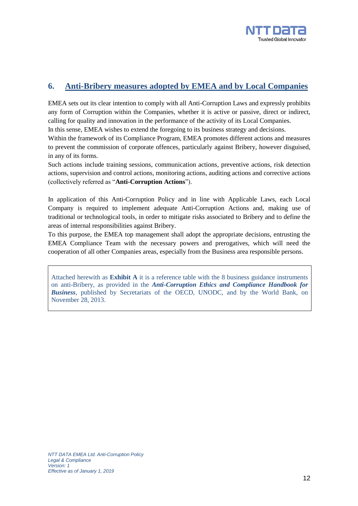

## **6. Anti-Bribery measures adopted by EMEA and by Local Companies**

EMEA sets out its clear intention to comply with all Anti-Corruption Laws and expressly prohibits any form of Corruption within the Companies, whether it is active or passive, direct or indirect, calling for quality and innovation in the performance of the activity of its Local Companies.

In this sense, EMEA wishes to extend the foregoing to its business strategy and decisions.

Within the framework of its Compliance Program, EMEA promotes different actions and measures to prevent the commission of corporate offences, particularly against Bribery, however disguised, in any of its forms.

Such actions include training sessions, communication actions, preventive actions, risk detection actions*,* supervision and control actions*,* monitoring actions*,* auditing actions and corrective actions (collectively referred as "**Anti-Corruption Actions**").

In application of this Anti-Corruption Policy and in line with Applicable Laws, each Local Company is required to implement adequate Anti-Corruption Actions and, making use of traditional or technological tools, in order to mitigate risks associated to Bribery and to define the areas of internal responsibilities against Bribery.

To this purpose, the EMEA top management shall adopt the appropriate decisions, entrusting the EMEA Compliance Team with the necessary powers and prerogatives, which will need the cooperation of all other Companies areas, especially from the Business area responsible persons.

Attached herewith as **Exhibit A** it is a reference table with the 8 business guidance instruments on anti-Bribery, as provided in the *Anti-Corruption Ethics and Compliance Handbook for Business*, published by Secretariats of the OECD, UNODC, and by the World Bank, on November 28, 2013.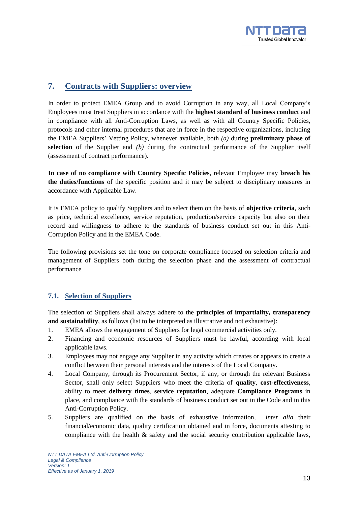

## **7. Contracts with Suppliers: overview**

In order to protect EMEA Group and to avoid Corruption in any way, all Local Company's Employees must treat Suppliers in accordance with the **highest standard of business conduct** and in compliance with all Anti-Corruption Laws, as well as with all Country Specific Policies, protocols and other internal procedures that are in force in the respective organizations, including the EMEA Suppliers' Vetting Policy, whenever available, both *(a)* during **preliminary phase of selection** of the Supplier and *(b)* during the contractual performance of the Supplier itself (assessment of contract performance).

**In case of no compliance with Country Specific Policies**, relevant Employee may **breach his the duties/functions** of the specific position and it may be subject to disciplinary measures in accordance with Applicable Law.

It is EMEA policy to qualify Suppliers and to select them on the basis of **objective criteria**, such as price, technical excellence, service reputation, production/service capacity but also on their record and willingness to adhere to the standards of business conduct set out in this Anti-Corruption Policy and in the EMEA Code.

The following provisions set the tone on corporate compliance focused on selection criteria and management of Suppliers both during the selection phase and the assessment of contractual performance

#### **7.1. Selection of Suppliers**

The selection of Suppliers shall always adhere to the **principles of impartiality, transparency and sustainability**, as follows (list to be interpreted as illustrative and not exhaustive):

- 1. EMEA allows the engagement of Suppliers for legal commercial activities only.
- 2. Financing and economic resources of Suppliers must be lawful, according with local applicable laws.
- 3. Employees may not engage any Supplier in any activity which creates or appears to create a conflict between their personal interests and the interests of the Local Company.
- 4. Local Company, through its Procurement Sector, if any, or through the relevant Business Sector, shall only select Suppliers who meet the criteria of **quality**, **cost-effectiveness**, ability to meet **delivery times**, **service reputation**, adequate **Compliance Programs** in place, and compliance with the standards of business conduct set out in the Code and in this Anti-Corruption Policy.
- 5. Suppliers are qualified on the basis of exhaustive information, *inter alia* their financial/economic data, quality certification obtained and in force, documents attesting to compliance with the health & safety and the social security contribution applicable laws,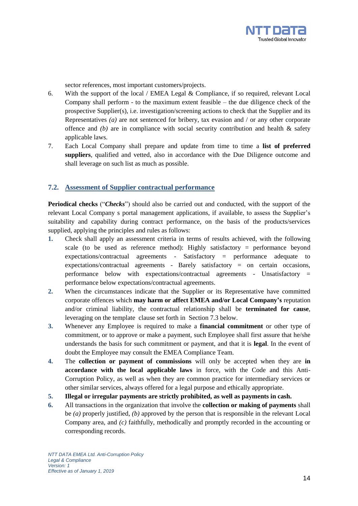

sector references, most important customers/projects.

- 6. With the support of the local / EMEA Legal & Compliance, if so required, relevant Local Company shall perform - to the maximum extent feasible – the due diligence check of the prospective Supplier(s), i.e. investigation/screening actions to check that the Supplier and its Representatives *(a)* are not sentenced for bribery, tax evasion and / or any other corporate offence and  $(b)$  are in compliance with social security contribution and health  $\&$  safety applicable laws.
- 7. Each Local Company shall prepare and update from time to time a **list of preferred suppliers**, qualified and vetted, also in accordance with the Due Diligence outcome and shall leverage on such list as much as possible.

#### **7.2. Assessment of Supplier contractual performance**

**Periodical checks** ("*Checks*") should also be carried out and conducted, with the support of the relevant Local Company s portal management applications, if available, to assess the Supplier's suitability and capability during contract performance, on the basis of the products/services supplied, applying the principles and rules as follows:

- **1.** Check shall apply an assessment criteria in terms of results achieved, with the following scale (to be used as reference method): Highly satisfactory = performance beyond expectations/contractual agreements - Satisfactory = performance adequate to expectations/contractual agreements - Barely satisfactory = on certain occasions, performance below with expectations/contractual agreements - Unsatisfactory = performance below expectations/contractual agreements.
- **2.** When the circumstances indicate that the Supplier or its Representative have committed corporate offences which **may harm or affect EMEA and/or Local Company's** reputation and/or criminal liability, the contractual relationship shall be **terminated for cause**, leveraging on the template clause set forth in Section 7.3 below.
- **3.** Whenever any Employee is required to make a **financial commitment** or other type of commitment, or to approve or make a payment, such Employee shall first assure that he/she understands the basis for such commitment or payment, and that it is **legal**. In the event of doubt the Employee may consult the EMEA Compliance Team.
- **4.** The **collection or payment of commissions** will only be accepted when they are **in accordance with the local applicable laws** in force, with the Code and this Anti-Corruption Policy, as well as when they are common practice for intermediary services or other similar services, always offered for a legal purpose and ethically appropriate.
- **5. Illegal or irregular payments are strictly prohibited, as well as payments in cash.**
- **6.** All transactions in the organization that involve the **collection or making of payments** shall be *(a)* properly justified, *(b)* approved by the person that is responsible in the relevant Local Company area, and *(c)* faithfully, methodically and promptly recorded in the accounting or corresponding records.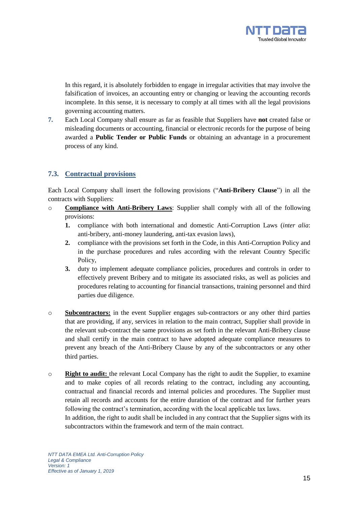

In this regard, it is absolutely forbidden to engage in irregular activities that may involve the falsification of invoices, an accounting entry or changing or leaving the accounting records incomplete. In this sense, it is necessary to comply at all times with all the legal provisions governing accounting matters.

**7.** Each Local Company shall ensure as far as feasible that Suppliers have **not** created false or misleading documents or accounting, financial or electronic records for the purpose of being awarded a **Public Tender or Public Funds** or obtaining an advantage in a procurement process of any kind.

#### **7.3. Contractual provisions**

Each Local Company shall insert the following provisions ("**Anti-Bribery Clause**") in all the contracts with Suppliers:

- o **Compliance with Anti-Bribery Laws**: Supplier shall comply with all of the following provisions:
	- **1.** compliance with both international and domestic Anti-Corruption Laws (*inter alia*: anti-bribery, anti-money laundering, anti-tax evasion laws),
	- **2.** compliance with the provisions set forth in the Code, in this Anti-Corruption Policy and in the purchase procedures and rules according with the relevant Country Specific Policy,
	- **3.** duty to implement adequate compliance policies, procedures and controls in order to effectively prevent Bribery and to mitigate its associated risks, as well as policies and procedures relating to accounting for financial transactions, training personnel and third parties due diligence.
- o **Subcontractors:** in the event Supplier engages sub-contractors or any other third parties that are providing, if any, services in relation to the main contract, Supplier shall provide in the relevant sub-contract the same provisions as set forth in the relevant Anti-Bribery clause and shall certify in the main contract to have adopted adequate compliance measures to prevent any breach of the Anti-Bribery Clause by any of the subcontractors or any other third parties.
- o **Right to audit:** the relevant Local Company has the right to audit the Supplier, to examine and to make copies of all records relating to the contract, including any accounting, contractual and financial records and internal policies and procedures. The Supplier must retain all records and accounts for the entire duration of the contract and for further years following the contract's termination, according with the local applicable tax laws.

In addition, the right to audit shall be included in any contract that the Supplier signs with its subcontractors within the framework and term of the main contract.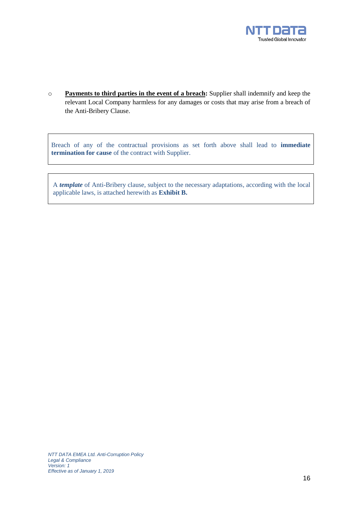

o **Payments to third parties in the event of a breach:** Supplier shall indemnify and keep the relevant Local Company harmless for any damages or costs that may arise from a breach of the Anti-Bribery Clause.

Breach of any of the contractual provisions as set forth above shall lead to **immediate termination for cause** of the contract with Supplier.

A *template* of Anti-Bribery clause, subject to the necessary adaptations, according with the local applicable laws, is attached herewith as **Exhibit B.**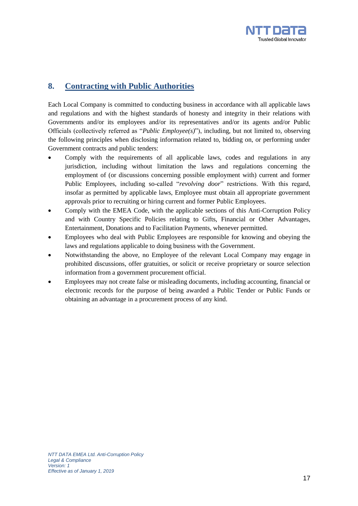

## **8. Contracting with Public Authorities**

Each Local Company is committed to conducting business in accordance with all applicable laws and regulations and with the highest standards of honesty and integrity in their relations with Governments and/or its employees and/or its representatives and/or its agents and/or Public Officials (collectively referred as "*Public Employee(s)*"), including, but not limited to, observing the following principles when disclosing information related to, bidding on, or performing under Government contracts and public tenders:

- Comply with the requirements of all applicable laws, codes and regulations in any jurisdiction, including without limitation the laws and regulations concerning the employment of (or discussions concerning possible employment with) current and former Public Employees, including so-called "*revolving door*" restrictions. With this regard, insofar as permitted by applicable laws, Employee must obtain all appropriate government approvals prior to recruiting or hiring current and former Public Employees.
- Comply with the EMEA Code, with the applicable sections of this Anti-Corruption Policy and with Country Specific Policies relating to Gifts, Financial or Other Advantages, Entertainment, Donations and to Facilitation Payments, whenever permitted.
- Employees who deal with Public Employees are responsible for knowing and obeying the laws and regulations applicable to doing business with the Government.
- Notwithstanding the above, no Employee of the relevant Local Company may engage in prohibited discussions, offer gratuities, or solicit or receive proprietary or source selection information from a government procurement official.
- Employees may not create false or misleading documents, including accounting, financial or electronic records for the purpose of being awarded a Public Tender or Public Funds or obtaining an advantage in a procurement process of any kind.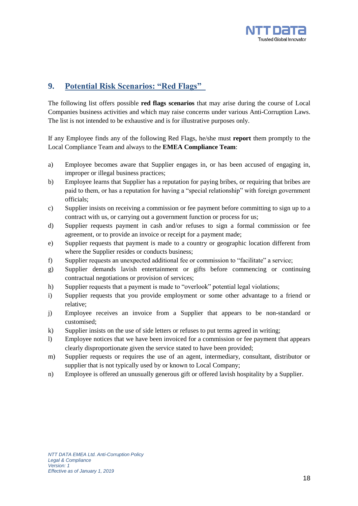

## **9. Potential Risk Scenarios: "Red Flags"**

The following list offers possible **red flags scenarios** that may arise during the course of Local Companies business activities and which may raise concerns under various Anti-Corruption Laws. The list is not intended to be exhaustive and is for illustrative purposes only.

If any Employee finds any of the following Red Flags, he/she must **report** them promptly to the Local Compliance Team and always to the **EMEA Compliance Team**:

- a) Employee becomes aware that Supplier engages in, or has been accused of engaging in, improper or illegal business practices;
- b) Employee learns that Supplier has a reputation for paying bribes, or requiring that bribes are paid to them, or has a reputation for having a "special relationship" with foreign government officials;
- c) Supplier insists on receiving a commission or fee payment before committing to sign up to a contract with us, or carrying out a government function or process for us;
- d) Supplier requests payment in cash and/or refuses to sign a formal commission or fee agreement, or to provide an invoice or receipt for a payment made;
- e) Supplier requests that payment is made to a country or geographic location different from where the Supplier resides or conducts business;
- f) Supplier requests an unexpected additional fee or commission to "facilitate" a service;
- g) Supplier demands lavish entertainment or gifts before commencing or continuing contractual negotiations or provision of services;
- h) Supplier requests that a payment is made to "overlook" potential legal violations;
- i) Supplier requests that you provide employment or some other advantage to a friend or relative;
- j) Employee receives an invoice from a Supplier that appears to be non-standard or customised;
- k) Supplier insists on the use of side letters or refuses to put terms agreed in writing;
- l) Employee notices that we have been invoiced for a commission or fee payment that appears clearly disproportionate given the service stated to have been provided;
- m) Supplier requests or requires the use of an agent, intermediary, consultant, distributor or supplier that is not typically used by or known to Local Company;
- n) Employee is offered an unusually generous gift or offered lavish hospitality by a Supplier.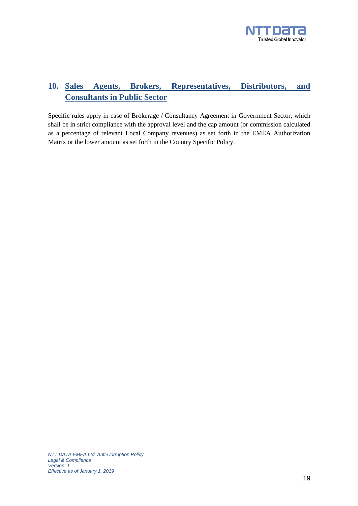

## **10. Sales Agents, Brokers, Representatives, Distributors, and Consultants in Public Sector**

Specific rules apply in case of Brokerage / Consultancy Agreement in Government Sector, which shall be in strict compliance with the approval level and the cap amount (or commission calculated as a percentage of relevant Local Company revenues) as set forth in the EMEA Authorization Matrix or the lower amount as set forth in the Country Specific Policy.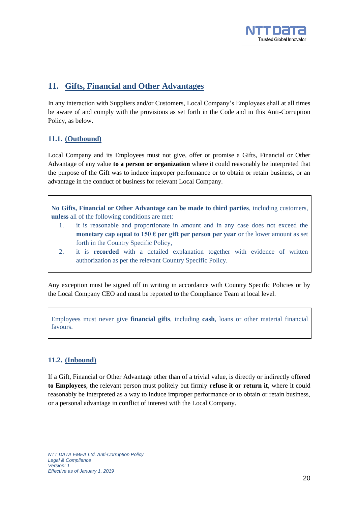

## **11. Gifts, Financial and Other Advantages**

In any interaction with Suppliers and/or Customers, Local Company's Employees shall at all times be aware of and comply with the provisions as set forth in the Code and in this Anti-Corruption Policy, as below.

## **11.1. (Outbound)**

Local Company and its Employees must not give, offer or promise a Gifts, Financial or Other Advantage of any value **to a person or organization** where it could reasonably be interpreted that the purpose of the Gift was to induce improper performance or to obtain or retain business, or an advantage in the conduct of business for relevant Local Company.

**No Gifts, Financial or Other Advantage can be made to third parties**, including customers, **unless** all of the following conditions are met:

- 1. it is reasonable and proportionate in amount and in any case does not exceed the **monetary cap equal to 150**  $\epsilon$  **per gift per person per year** or the lower amount as set forth in the Country Specific Policy,
- 2. it is **recorded** with a detailed explanation together with evidence of written authorization as per the relevant Country Specific Policy.

Any exception must be signed off in writing in accordance with Country Specific Policies or by the Local Company CEO and must be reported to the Compliance Team at local level.

Employees must never give **financial gifts**, including **cash**, loans or other material financial favours.

### **11.2. (Inbound)**

If a Gift, Financial or Other Advantage other than of a trivial value, is directly or indirectly offered **to Employees**, the relevant person must politely but firmly **refuse it or return it**, where it could reasonably be interpreted as a way to induce improper performance or to obtain or retain business, or a personal advantage in conflict of interest with the Local Company.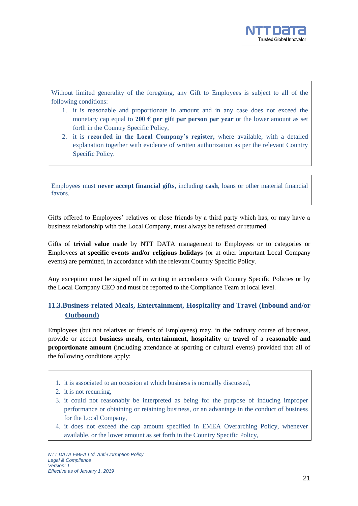

Without limited generality of the foregoing, any Gift to Employees is subject to all of the following conditions:

- 1. it is reasonable and proportionate in amount and in any case does not exceed the monetary cap equal to 200  $\epsilon$  per gift per person per year or the lower amount as set forth in the Country Specific Policy,
- 2. it is **recorded in the Local Company's register,** where available, with a detailed explanation together with evidence of written authorization as per the relevant Country Specific Policy.

Employees must **never accept financial gifts**, including **cash**, loans or other material financial favors.

Gifts offered to Employees' relatives or close friends by a third party which has, or may have a business relationship with the Local Company, must always be refused or returned.

Gifts of **trivial value** made by NTT DATA management to Employees or to categories or Employees **at specific events and/or religious holidays** (or at other important Local Company events) are permitted, in accordance with the relevant Country Specific Policy.

Any exception must be signed off in writing in accordance with Country Specific Policies or by the Local Company CEO and must be reported to the Compliance Team at local level.

### **11.3.Business-related Meals, Entertainment, Hospitality and Travel (Inbound and/or Outbound)**

Employees (but not relatives or friends of Employees) may, in the ordinary course of business, provide or accept **business meals, entertainment, hospitality** or **travel** of a **reasonable and proportionate amount** (including attendance at sporting or cultural events) provided that all of the following conditions apply:

- 1. it is associated to an occasion at which business is normally discussed,
- 2. it is not recurring,
- 3. it could not reasonably be interpreted as being for the purpose of inducing improper performance or obtaining or retaining business, or an advantage in the conduct of business for the Local Company,
- 4. it does not exceed the cap amount specified in EMEA Overarching Policy, whenever available, or the lower amount as set forth in the Country Specific Policy,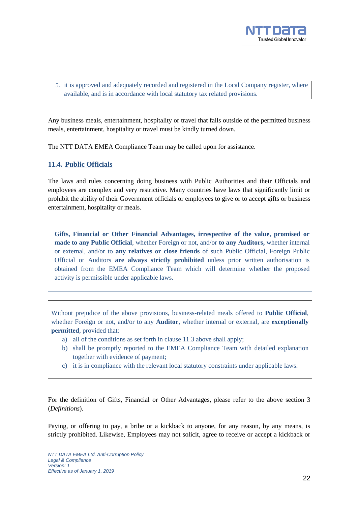

5. it is approved and adequately recorded and registered in the Local Company register, where available, and is in accordance with local statutory tax related provisions.

Any business meals, entertainment, hospitality or travel that falls outside of the permitted business meals, entertainment, hospitality or travel must be kindly turned down.

The NTT DATA EMEA Compliance Team may be called upon for assistance.

#### **11.4. Public Officials**

The laws and rules concerning doing business with Public Authorities and their Officials and employees are complex and very restrictive. Many countries have laws that significantly limit or prohibit the ability of their Government officials or employees to give or to accept gifts or business entertainment, hospitality or meals.

**Gifts, Financial or Other Financial Advantages, irrespective of the value, promised or made to any Public Official**, whether Foreign or not, and/or **to any Auditors,** whether internal or external, and/or to **any relatives or close friends** of such Public Official, Foreign Public Official or Auditors **are always strictly prohibited** unless prior written authorisation is obtained from the EMEA Compliance Team which will determine whether the proposed activity is permissible under applicable laws.

Without prejudice of the above provisions, business-related meals offered to **Public Official**, whether Foreign or not, and/or to any **Auditor**, whether internal or external, are **exceptionally permitted**, provided that:

- a) all of the conditions as set forth in clause 11.3 above shall apply;
- b) shall be promptly reported to the EMEA Compliance Team with detailed explanation together with evidence of payment;
- c) it is in compliance with the relevant local statutory constraints under applicable laws.

For the definition of Gifts, Financial or Other Advantages, please refer to the above section 3 (*Definitions*).

Paying, or offering to pay, a bribe or a kickback to anyone, for any reason, by any means, is strictly prohibited. Likewise, Employees may not solicit, agree to receive or accept a kickback or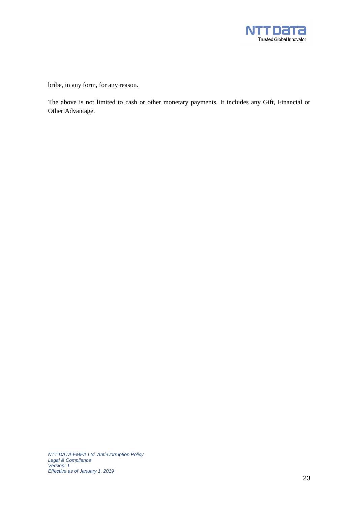

bribe, in any form, for any reason.

The above is not limited to cash or other monetary payments. It includes any Gift, Financial or Other Advantage.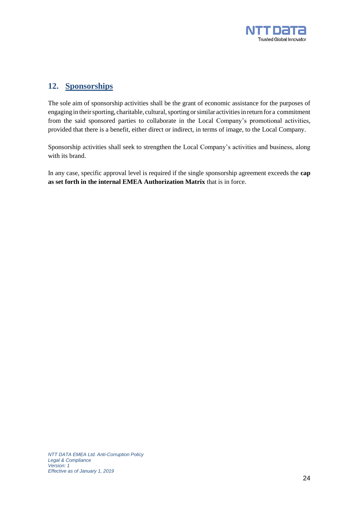

## **12. Sponsorships**

The sole aim of sponsorship activities shall be the grant of economic assistance for the purposes of engaging in their sporting, charitable, cultural, sporting or similar activities in return for a commitment from the said sponsored parties to collaborate in the Local Company's promotional activities, provided that there is a benefit, either direct or indirect, in terms of image, to the Local Company.

Sponsorship activities shall seek to strengthen the Local Company's activities and business, along with its brand.

In any case, specific approval level is required if the single sponsorship agreement exceeds the **cap as set forth in the internal EMEA Authorization Matrix** that is in force.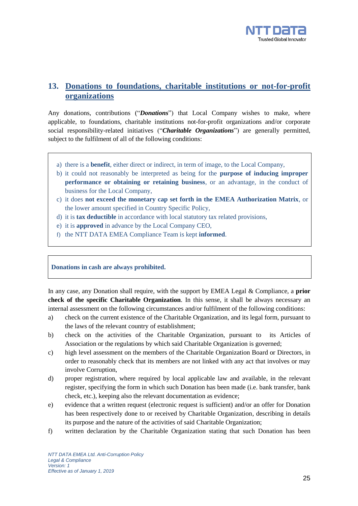

## **13. Donations to foundations, charitable institutions or not-for-profit organizations**

Any donations, contributions ("*Donations*") that Local Company wishes to make, where applicable, to foundations, charitable institutions not-for-profit organizations and/or corporate social responsibility-related initiatives ("*Charitable Organizations*") are generally permitted, subject to the fulfilment of all of the following conditions:

- a) there is a **benefit**, either direct or indirect, in term of image, to the Local Company,
- b) it could not reasonably be interpreted as being for the **purpose of inducing improper performance or obtaining or retaining business**, or an advantage, in the conduct of business for the Local Company,
- c) it does **not exceed the monetary cap set forth in the EMEA Authorization Matrix**, or the lower amount specified in Country Specific Policy,
- d) it is **tax deductible** in accordance with local statutory tax related provisions,
- e) it is **approved** in advance by the Local Company CEO,
- f) the NTT DATA EMEA Compliance Team is kept **informed**.

#### **Donations in cash are always prohibited.**

In any case, any Donation shall require, with the support by EMEA Legal & Compliance, a **prior check of the specific Charitable Organization**. In this sense, it shall be always necessary an internal assessment on the following circumstances and/or fulfilment of the following conditions:

- a) check on the current existence of the Charitable Organization, and its legal form, pursuant to the laws of the relevant country of establishment;
- b) check on the activities of the Charitable Organization, pursuant to its Articles of Association or the regulations by which said Charitable Organization is governed;
- c) high level assessment on the members of the Charitable Organization Board or Directors, in order to reasonably check that its members are not linked with any act that involves or may involve Corruption,
- d) proper registration, where required by local applicable law and available, in the relevant register, specifying the form in which such Donation has been made (i.e. bank transfer, bank check, etc.), keeping also the relevant documentation as evidence;
- e) evidence that a written request (electronic request is sufficient) and/or an offer for Donation has been respectively done to or received by Charitable Organization, describing in details its purpose and the nature of the activities of said Charitable Organization;
- f) written declaration by the Charitable Organization stating that such Donation has been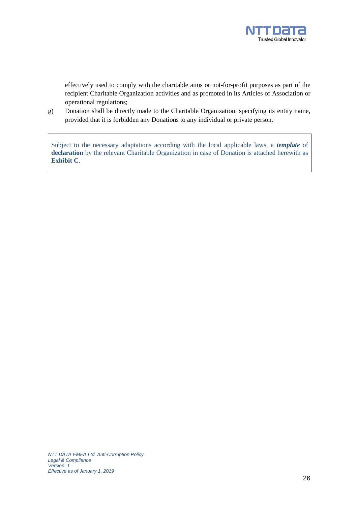

effectively used to comply with the charitable aims or not-for-profit purposes as part of the recipient Charitable Organization activities and as promoted in its Articles of Association or operational regulations;

g) Donation shall be directly made to the Charitable Organization, specifying its entity name, provided that it is forbidden any Donations to any individual or private person.

Subject to the necessary adaptations according with the local applicable laws, a *template* of **declaration** by the relevant Charitable Organization in case of Donation is attached herewith as **Exhibit C**.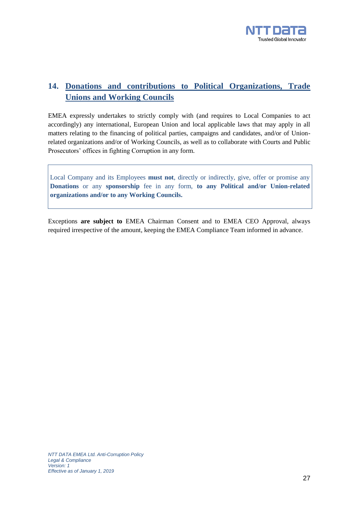

## **14. Donations and contributions to Political Organizations, Trade Unions and Working Councils**

EMEA expressly undertakes to strictly comply with (and requires to Local Companies to act accordingly) any international, European Union and local applicable laws that may apply in all matters relating to the financing of political parties, campaigns and candidates, and/or of Unionrelated organizations and/or of Working Councils, as well as to collaborate with Courts and Public Prosecutors' offices in fighting Corruption in any form.

Local Company and its Employees **must not**, directly or indirectly, give, offer or promise any **Donations** or any **sponsorship** fee in any form, **to any Political and/or Union-related organizations and/or to any Working Councils.**

Exceptions **are subject to** EMEA Chairman Consent and to EMEA CEO Approval, always required irrespective of the amount, keeping the EMEA Compliance Team informed in advance.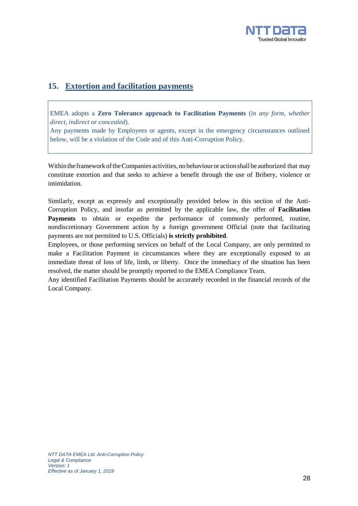

## **15. Extortion and facilitation payments**

EMEA adopts a **Zero Tolerance approach to Facilitation Payments** (*in any form, whether direct, indirect or concealed*).

Any payments made by Employees or agents, except in the emergency circumstances outlined below, will be a violation of the Code and of this Anti-Corruption Policy.

Within the framework of the Companies activities, no behaviour or action shall be authorized that may constitute extortion and that seeks to achieve a benefit through the use of Bribery, violence or intimidation.

Similarly, except as expressly and exceptionally provided below in this section of the Anti-Corruption Policy, and insofar as permitted by the applicable law, the offer of **Facilitation Payments** to obtain or expedite the performance of commonly performed, routine, nondiscretionary Government action by a foreign government Official (note that facilitating payments are not permitted to U.S. Officials) **is strictly prohibited**.

Employees, or those performing services on behalf of the Local Company, are only permitted to make a Facilitation Payment in circumstances where they are exceptionally exposed to an immediate threat of loss of life, limb, or liberty. Once the immediacy of the situation has been resolved, the matter should be promptly reported to the EMEA Compliance Team.

Any identified Facilitation Payments should be accurately recorded in the financial records of the Local Company.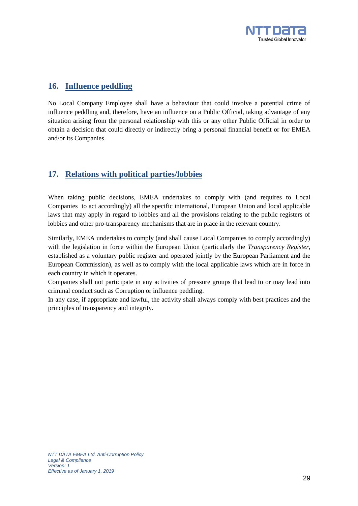

## **16. Influence peddling**

No Local Company Employee shall have a behaviour that could involve a potential crime of influence peddling and, therefore, have an influence on a Public Official, taking advantage of any situation arising from the personal relationship with this or any other Public Official in order to obtain a decision that could directly or indirectly bring a personal financial benefit or for EMEA and/or its Companies.

## **17. Relations with political parties/lobbies**

When taking public decisions, EMEA undertakes to comply with (and requires to Local Companies to act accordingly) all the specific international, European Union and local applicable laws that may apply in regard to lobbies and all the provisions relating to the public registers of lobbies and other pro-transparency mechanisms that are in place in the relevant country.

Similarly, EMEA undertakes to comply (and shall cause Local Companies to comply accordingly) with the legislation in force within the European Union (particularly the *Transparency Register*, established as a voluntary public register and operated jointly by the European Parliament and the European Commission), as well as to comply with the local applicable laws which are in force in each country in which it operates.

Companies shall not participate in any activities of pressure groups that lead to or may lead into criminal conduct such as Corruption or influence peddling.

In any case, if appropriate and lawful, the activity shall always comply with best practices and the principles of transparency and integrity.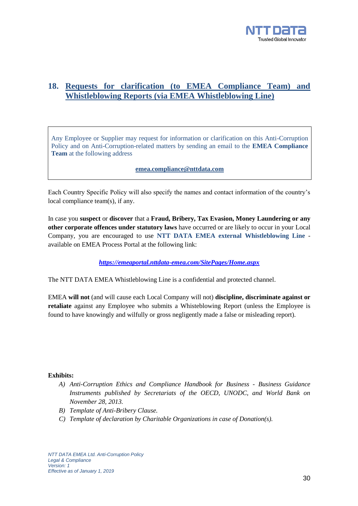

## **18. Requests for clarification (to EMEA Compliance Team) and Whistleblowing Reports (via EMEA Whistleblowing Line)**

Any Employee or Supplier may request for information or clarification on this Anti-Corruption Policy and on Anti-Corruption-related matters by sending an email to the **EMEA Compliance Team** at the following address

**[emea.compliance@nttdata.com](mailto:emea.compliance@nttdata.com)**

Each Country Specific Policy will also specify the names and contact information of the country's local compliance team(s), if any.

In case you **suspect** or **discover** that a **Fraud, Bribery, Tax Evasion, Money Laundering or any other corporate offences under statutory laws** have occurred or are likely to occur in your Local Company, you are encouraged to use **NTT DATA EMEA external Whistleblowing Line** available on EMEA Process Portal at the following link:

*<https://emeaportal.nttdata-emea.com/SitePages/Home.aspx>*

The NTT DATA EMEA Whistleblowing Line is a confidential and protected channel.

EMEA **will not** (and will cause each Local Company will not) **discipline, discriminate against or retaliate** against any Employee who submits a Whisteblowing Report (unless the Employee is found to have knowingly and wilfully or gross negligently made a false or misleading report).

#### **Exhibits:**

- *A) Anti-Corruption Ethics and Compliance Handbook for Business - Business Guidance Instruments published by Secretariats of the OECD, UNODC, and World Bank on November 28, 2013.*
- *B) Template of Anti-Bribery Clause.*
- *C) Template of declaration by Charitable Organizations in case of Donation(s).*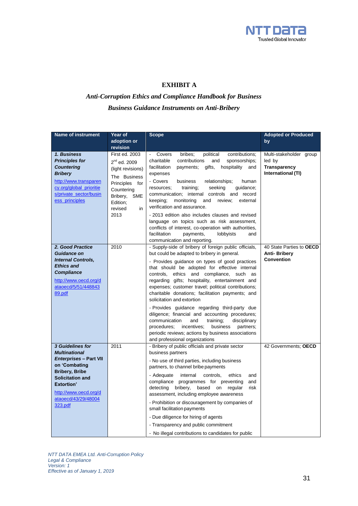

#### **EXHIBIT A**

## *Anti-Corruption Ethics and Compliance Handbook for Business Business Guidance Instruments on Anti-Bribery*

| <b>Name of instrument</b>                                                                                                                                                                                               | Year of<br>adoption or<br>revision                                                                                                                                      | <b>Scope</b>                                                                                                                                                                                                                                                                                                                                                                                                                                                                                                                                                                                                                                                                                                                                            | <b>Adopted or Produced</b><br>by                                               |
|-------------------------------------------------------------------------------------------------------------------------------------------------------------------------------------------------------------------------|-------------------------------------------------------------------------------------------------------------------------------------------------------------------------|---------------------------------------------------------------------------------------------------------------------------------------------------------------------------------------------------------------------------------------------------------------------------------------------------------------------------------------------------------------------------------------------------------------------------------------------------------------------------------------------------------------------------------------------------------------------------------------------------------------------------------------------------------------------------------------------------------------------------------------------------------|--------------------------------------------------------------------------------|
| 1. Business<br><b>Principles for</b><br><b>Countering</b><br><b>Bribery</b><br>http://www.transparen<br>cy.org/global_prioritie<br>s/private_sector/busin<br>ess_principles                                             | First ed. 2003<br>$2^{nd}$ ed. 2009<br>(light revisions)<br>The Business<br>Principles for<br>Countering<br>Bribery,<br><b>SME</b><br>Edition;<br>revised<br>in<br>2013 | Covers<br>political<br>bribes:<br>contributions:<br>charitable<br>contributions<br>and<br>sponsorships;<br>facilitation<br>gifts,<br>hospitality<br>payments;<br>and<br>expenses<br>- Covers<br>business<br>relationships;<br>human<br>resources;<br>training;<br>seeking<br>guidance;<br>communication; internal controls and record<br>keeping:<br>monitoring<br>and<br>review;<br>external<br>verification and assurance.<br>- 2013 edition also includes clauses and revised<br>language on topics such as risk assessment,<br>conflicts of interest, co-operation with authorities,<br>facilitation<br>payments,<br>lobbyists<br>and<br>communication and reporting.                                                                               | Multi-stakeholder group<br>led by<br><b>Transparency</b><br>International (TI) |
| 2. Good Practice<br><b>Guidance on</b><br><b>Internal Controls,</b><br><b>Ethics and</b><br><b>Compliance</b><br>http://www.oecd.org/d<br>ataoecd/5/51/448843<br>89.pdf                                                 | 2010                                                                                                                                                                    | - Supply-side of bribery of foreign public officials,<br>but could be adapted to bribery in general.<br>- Provides guidance on types of good practices<br>that should be adopted for effective internal<br>controls, ethics and compliance, such as<br>regarding gifts; hospitality, entertainment and<br>expenses; customer travel; political contributions;<br>charitable donations; facilitation payments; and<br>solicitation and extortion<br>- Provides guidance regarding third-party due<br>diligence; financial and accounting procedures;<br>communication<br>and<br>training;<br>disciplinary<br>procedures;<br>incentives;<br>business<br>partners;<br>periodic reviews; actions by business associations<br>and professional organizations | 40 State Parties to OECD<br><b>Anti-Bribery</b><br><b>Convention</b>           |
| 3 Guidelines for<br><b>Multinational</b><br><b>Enterprises - Part VII</b><br>on 'Combating<br><b>Bribery, Bribe</b><br><b>Solicitation and</b><br>Extortion'<br>http://www.oecd.org/d<br>ataoecd/43/29/48004<br>323.pdf | 2011                                                                                                                                                                    | - Bribery of public officials and private sector<br>business partners<br>- No use of third parties, including business<br>partners, to channel bribe payments<br>- Adequate<br>internal<br>controls,<br>ethics<br>and<br>compliance programmes for preventing<br>and<br>bribery,<br>based on<br>detecting<br>regular<br>risk<br>assessment, including employee awareness<br>- Prohibition or discouragement by companies of<br>small facilitation payments<br>- Due diligence for hiring of agents<br>- Transparency and public commitment<br>- No illegal contributions to candidates for public                                                                                                                                                       | 42 Governments; OECD                                                           |

*NTT DATA EMEA Ltd. Anti-Corruption Policy Legal & Compliance Version: 1 Effective as of January 1, 2019*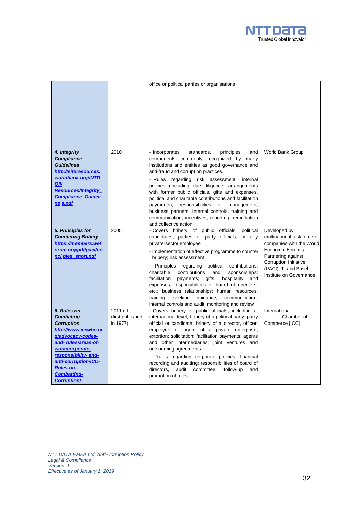

|                                                                                                                                                                                                                                                             |                                          | office or political parties or organisations                                                                                                                                                                                                                                                                                                                                                                                                                                                                                                                                                                    |                                                                                                                                                                                               |
|-------------------------------------------------------------------------------------------------------------------------------------------------------------------------------------------------------------------------------------------------------------|------------------------------------------|-----------------------------------------------------------------------------------------------------------------------------------------------------------------------------------------------------------------------------------------------------------------------------------------------------------------------------------------------------------------------------------------------------------------------------------------------------------------------------------------------------------------------------------------------------------------------------------------------------------------|-----------------------------------------------------------------------------------------------------------------------------------------------------------------------------------------------|
| 4. Integrity<br><b>Compliance</b><br><b>Guidelines</b><br>http://siteresources.<br>worldbank.org/INTD<br><b>OII/</b><br><b>Resources/Integrity</b><br><b>Compliance Guideli</b><br>ne s.pdf                                                                 | 2010                                     | - Incorporates<br>standards,<br>principles<br>and<br>components commonly recognized by many<br>institutions and entities as good governance and<br>anti-fraud and corruption practices.<br>- Rules regarding risk assessment,<br>internal<br>policies (including due diligence, arrangements<br>with former public officials, gifts and expenses,<br>political and charitable contributions and facilitation<br>payments),<br>responsibilities<br>of<br>management,<br>business partners, internal controls, training and<br>communication, incentives, reporting, remediation<br>and collective action.        | World Bank Group                                                                                                                                                                              |
| 5. Principles for<br><b>Countering Bribery</b><br>https://members.wef<br>orum.org/pdf/paci/pri<br>nci ples short.pdf                                                                                                                                        | 2005                                     | - Covers bribery of public officials;<br>political<br>candidates, parties or party officials; or any<br>private-sector employee<br>- Implementation of effective programme to counter<br>bribery; risk assessment<br>- Principles regarding<br>political contributions;<br>charitable<br>contributions<br>sponsorships;<br>and<br>facilitation<br>gifts,<br>hospitality<br>payments;<br>and<br>expenses; responsibilities of board of directors,<br>etc.; business relationships; human resources;<br>training;<br>seeking<br>quidance;<br>communication;<br>internal controls and audit; monitoring and review | Developed by<br>multinational task force of<br>companies with the World<br>Economic Forum's<br>Partnering against<br>Corruption Initiative<br>(PACI), TI and Basel<br>Institute on Governance |
| 6. Rules on<br><b>Combating</b><br><b>Corruption</b><br>http://www.iccwbo.or<br>g/advocacy-codes-<br>and-rules/areas-of-<br>work/corporate-<br>responsibility- and-<br>anti-corruption/ICC-<br><b>Rules-on-</b><br><b>Combatting-</b><br><b>Corruption/</b> | 2011 ed.<br>(first published<br>in 1977) | - Covers bribery of public officials, including at<br>international level; bribery of a political party, party<br>official or candidate; bribery of a director, officer,<br>employee or agent of a private enterprise;<br>extortion; solicitation; facilitation payments; agents<br>and other intermediaries; joint ventures and<br>outsourcing agreements<br>- Rules regarding corporate policies; financial<br>recording and auditing; responsibilities of board of<br>directors,<br>audit<br>committee;<br>follow-up<br>and<br>promotion of rules                                                            | International<br>Chamber of<br>Commerce [ICC]                                                                                                                                                 |

*NTT DATA EMEA Ltd. Anti-Corruption Policy Legal & Compliance Version: 1 Effective as of January 1, 2019*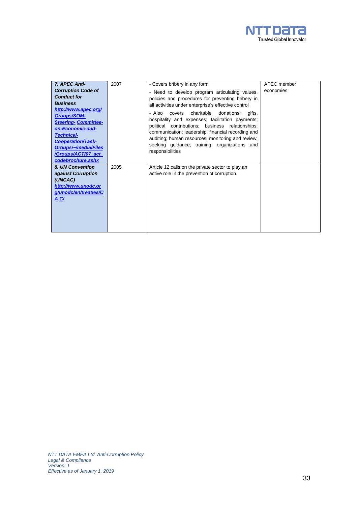

| 7. APEC Anti-                                                                                                                                                                                                     | 2007 | - Covers bribery in any form                                                                                                                                                                                                                                                                                                                   | APEC member |
|-------------------------------------------------------------------------------------------------------------------------------------------------------------------------------------------------------------------|------|------------------------------------------------------------------------------------------------------------------------------------------------------------------------------------------------------------------------------------------------------------------------------------------------------------------------------------------------|-------------|
| <b>Corruption Code of</b><br><b>Conduct for</b><br><b>Business</b>                                                                                                                                                |      | - Need to develop program articulating values,<br>policies and procedures for preventing bribery in<br>all activities under enterprise's effective control                                                                                                                                                                                     | economies   |
| http://www.apec.org/<br><b>Groups/SOM-</b><br><b>Steering- Committee-</b><br>on-Economic-and-<br><b>Technical-</b><br><b>Cooperation/Task-</b><br>Groups/~/media/Files<br>/Groups/ACT/07_act<br>codebrochure.ashx |      | charitable<br>- Also<br>covers<br>donations;<br>aifts.<br>hospitality and expenses; facilitation payments;<br>political contributions; business relationships;<br>communication; leadership; financial recording and<br>auditing; human resources; monitoring and review;<br>seeking guidance; training; organizations and<br>responsibilities |             |
| 8. UN Convention<br>against Corruption<br>(UNCAC)<br>http://www.unodc.or<br>g/unodc/en/treaties/C<br><u>A C/</u>                                                                                                  | 2005 | Article 12 calls on the private sector to play an<br>active role in the prevention of corruption.                                                                                                                                                                                                                                              |             |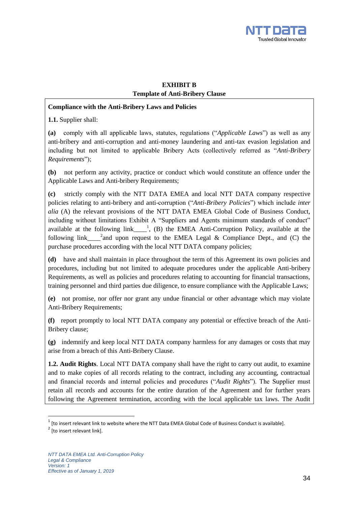

### **EXHIBIT B Template of Anti-Bribery Clause**

#### **Compliance with the Anti-Bribery Laws and Policies**

**1.1.** Supplier shall:

**(a)** comply with all applicable laws, statutes, regulations ("*Applicable Laws*") as well as any anti-bribery and anti-corruption and anti-money laundering and anti-tax evasion legislation and including but not limited to applicable Bribery Acts (collectively referred as "*Anti-Bribery Requirements*");

**(b)** not perform any activity, practice or conduct which would constitute an offence under the Applicable Laws and Anti-bribery Requirements;

**(c)** strictly comply with the NTT DATA EMEA and local NTT DATA company respective policies relating to anti-bribery and anti-corruption ("*Anti-Bribery Policies*") which include *inter alia* (A) the relevant provisions of the NTT DATA EMEA Global Code of Business Conduct, including without limitations Exhibit A "Suppliers and Agents minimum standards of conduct" available at the following  $link$   $\leftarrow$ <sup>1</sup>, (B) the EMEA Anti-Corruption Policy, available at the following link  $\frac{1}{2}$  and upon request to the EMEA Legal & Compliance Dept., and (C) the purchase procedures according with the local NTT DATA company policies;

**(d)** have and shall maintain in place throughout the term of this Agreement its own policies and procedures, including but not limited to adequate procedures under the applicable Anti-bribery Requirements, as well as policies and procedures relating to accounting for financial transactions, training personnel and third parties due diligence, to ensure compliance with the Applicable Laws;

**(e)** not promise, nor offer nor grant any undue financial or other advantage which may violate Anti-Bribery Requirements;

**(f)** report promptly to local NTT DATA company any potential or effective breach of the Anti-Bribery clause;

**(g)** indemnify and keep local NTT DATA company harmless for any damages or costs that may arise from a breach of this Anti-Bribery Clause.

**1.2. Audit Rights**. Local NTT DATA company shall have the right to carry out audit, to examine and to make copies of all records relating to the contract, including any accounting, contractual and financial records and internal policies and procedures ("*Audit Rights*"). The Supplier must retain all records and accounts for the entire duration of the Agreement and for further years following the Agreement termination, according with the local applicable tax laws. The Audit

 $\overline{\phantom{a}}$ 

 $^1$  [to insert relevant link to website where the NTT Data EMEA Global Code of Business Conduct is available].

 $2^{2}$  [to insert relevant link].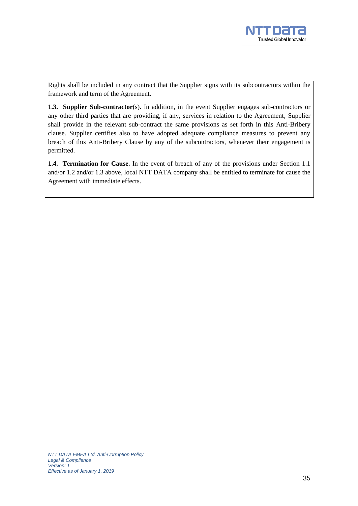

Rights shall be included in any contract that the Supplier signs with its subcontractors within the framework and term of the Agreement.

**1.3. Supplier Sub-contractor**(s). In addition, in the event Supplier engages sub-contractors or any other third parties that are providing, if any, services in relation to the Agreement, Supplier shall provide in the relevant sub-contract the same provisions as set forth in this Anti-Bribery clause. Supplier certifies also to have adopted adequate compliance measures to prevent any breach of this Anti-Bribery Clause by any of the subcontractors, whenever their engagement is permitted.

**1.4. Termination for Cause.** In the event of breach of any of the provisions under Section 1.1 and/or 1.2 and/or 1.3 above, local NTT DATA company shall be entitled to terminate for cause the Agreement with immediate effects.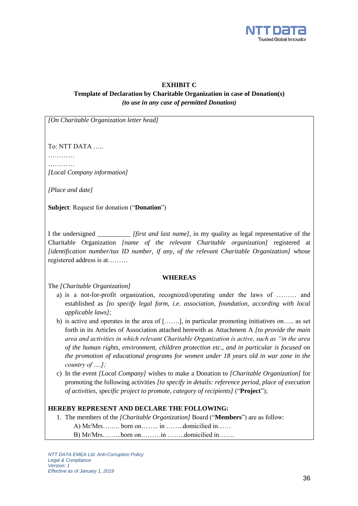

#### **EXHIBIT C**

### **Template of Declaration by Charitable Organization in case of Donation(s)** *(to use in any case of permitted Donation)*

*[On Charitable Organization letter head]*

To: NTT DATA …..

…………… …………

*[Local Company information]*

*[Place and date]*

**Subject**: Request for donation ("**Donation**")

I the undersigned \_\_\_\_\_\_\_\_\_\_ *[first and last name]*, in my quality as legal representative of the Charitable Organization *[name of the relevant Charitable organization]* registered at *[identification number/tax ID number, if any, of the relevant Charitable Organization]* whose registered address is at………

#### **WHEREAS**

The *[Charitable Organization]* 

- a) is a not-for-profit organization, recognized/operating under the laws of ……… and established as *[to specify legal form, i.e. association, foundation, according with local applicable laws]*;
- b) is active and operates in the area of […….], in particular promoting initiatives on….. as set forth in its Articles of Association attached herewith as Attachment A *[to provide the main area and activities in which relevant Charitable Organization is active, such as "in the area of the human rights, environment, children protection etc., and in particular is focused on the promotion of educational programs for women under 18 years old in war zone in the country of ….];*
- c) In the event *[Local Company]* wishes to make a Donation to *[Charitable Organization]* for promoting the following activities *[to specify in details: reference period, place of execution of activities, specific project to promote, category of recipients]* ("**Project**");

#### **HEREBY REPRESENT AND DECLARE THE FOLLOWING:**

1. The members of the *[Charitable Organization]* Board ("**Members**") are as follow: A) Mr/Mrs…….. born on…….. in ……..domicilied in…… B) Mr/Mrs……...born on………in ……..domicilied in…….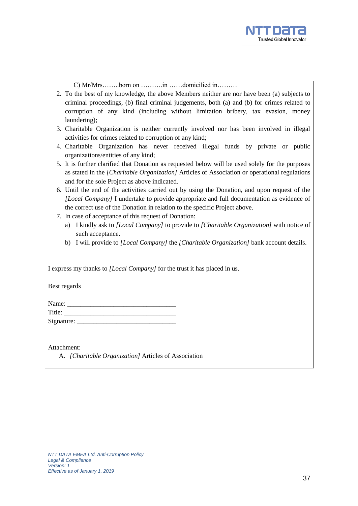

C) Mr/Mrs……..born on ……….in ……domicilied in………

- 2. To the best of my knowledge, the above Members neither are nor have been (a) subjects to criminal proceedings, (b) final criminal judgements, both (a) and (b) for crimes related to corruption of any kind (including without limitation bribery, tax evasion, money laundering);
- 3. Charitable Organization is neither currently involved nor has been involved in illegal activities for crimes related to corruption of any kind;
- 4. Charitable Organization has never received illegal funds by private or public organizations/entities of any kind;
- 5. It is further clarified that Donation as requested below will be used solely for the purposes as stated in the *[Charitable Organization]* Articles of Association or operational regulations and for the sole Project as above indicated.
- 6. Until the end of the activities carried out by using the Donation, and upon request of the *[Local Company]* I undertake to provide appropriate and full documentation as evidence of the correct use of the Donation in relation to the specific Project above.
- 7. In case of acceptance of this request of Donation:
	- a) I kindly ask to *[Local Company]* to provide to *[Charitable Organization]* with notice of such acceptance.
	- b) I will provide to *[Local Company]* the *[Charitable Organization]* bank account details.

| I express my thanks to <i>[Local Company]</i> for the trust it has placed in us. |
|----------------------------------------------------------------------------------|
| Best regards                                                                     |
| Signature:                                                                       |
| Attachment:<br>A. [Charitable Organization] Articles of Association              |